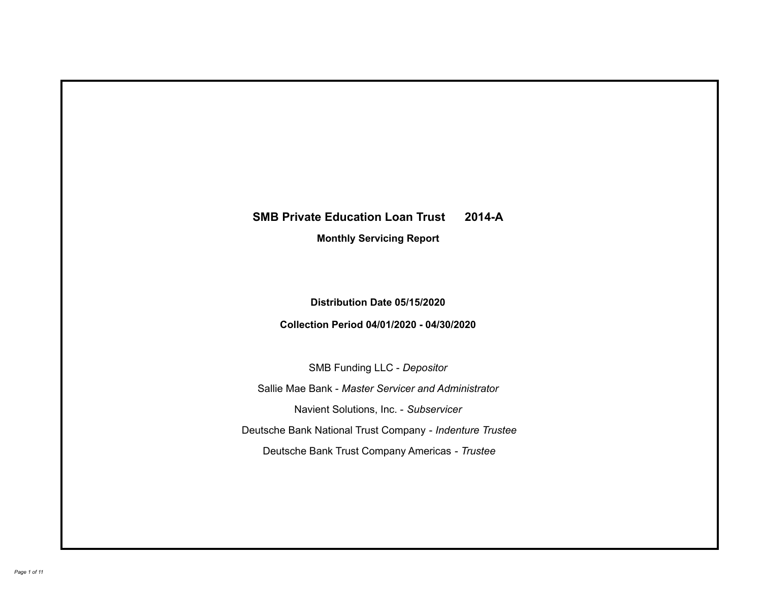# **SMB Private Education Loan Trust 2014-A Monthly Servicing Report**

# **Distribution Date 05/15/2020**

## **Collection Period 04/01/2020 - 04/30/2020**

SMB Funding LLC - *Depositor*

Sallie Mae Bank - *Master Servicer and Administrator*

Navient Solutions, Inc. - *Subservicer*

Deutsche Bank National Trust Company - *Indenture Trustee*

Deutsche Bank Trust Company Americas - *Trustee*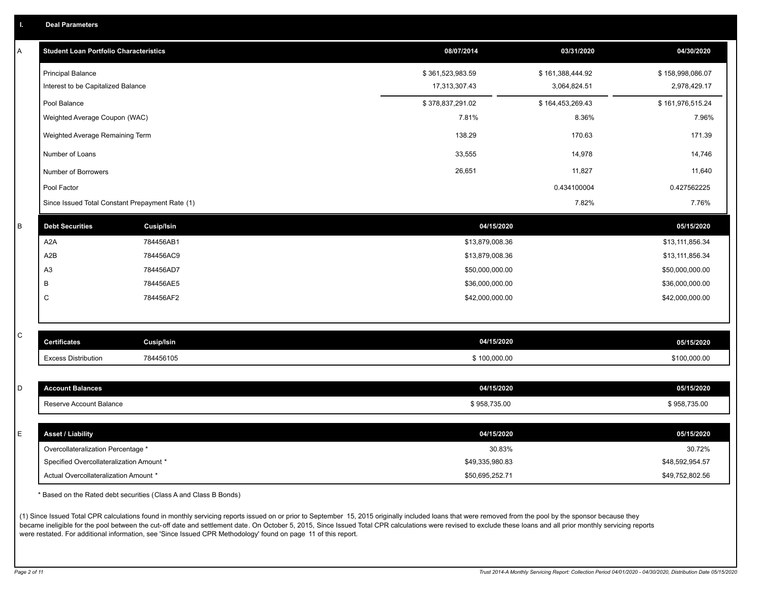| <b>Deal Parameters</b>                        |                  |                  |                  |
|-----------------------------------------------|------------------|------------------|------------------|
| <b>Student Loan Portfolio Characteristics</b> | 08/07/2014       | 03/31/2020       | 04/30/2020       |
| <b>Principal Balance</b>                      | \$361,523,983.59 | \$161,388,444.92 | \$158,998,086.07 |
| Interest to be Capitalized Balance            | 17,313,307.43    | 3,064,824.51     | 2,978,429.17     |

| Interest to be Capitalized Balance              | 17,313,307.43    | 3,064,824.51     | 2,978,429.17     |
|-------------------------------------------------|------------------|------------------|------------------|
| Pool Balance                                    | \$378,837,291.02 | \$164,453,269.43 | \$161,976,515.24 |
| Weighted Average Coupon (WAC)                   | 7.81%            | 8.36%            | 7.96%            |
| Weighted Average Remaining Term                 | 138.29           | 170.63           | 171.39           |
| Number of Loans                                 | 33,555           | 14,978           | 14,746           |
| Number of Borrowers                             | 26,651           | 11,827           | 11,640           |
| Pool Factor                                     |                  | 0.434100004      | 0.427562225      |
| Since Issued Total Constant Prepayment Rate (1) |                  | 7.82%            | 7.76%            |

|                        | ____              |                 |                 |
|------------------------|-------------------|-----------------|-----------------|
| <b>Debt Securities</b> | <b>Cusip/Isin</b> | 04/15/2020      | 05/15/2020      |
| A2A                    | 784456AB1         | \$13,879,008.36 | \$13,111,856.34 |
| A2B                    | 784456AC9         | \$13,879,008.36 | \$13,111,856.34 |
| A <sub>3</sub>         | 784456AD7         | \$50,000,000.00 | \$50,000,000.00 |
|                        | 784456AE5         | \$36,000,000.00 | \$36,000,000.00 |
| ◡                      | 784456AF2         | \$42,000,000.00 | \$42,000,000.00 |
|                        |                   |                 |                 |

| v<br>٦<br>٦<br>I<br>×<br>۰. |
|-----------------------------|

| <b>Certificates</b>        | Cusip/Isin | 04/15/2020   | 05/15/2020   |
|----------------------------|------------|--------------|--------------|
| <b>Excess Distribution</b> | 784456105  | \$100,000.00 | \$100,000.00 |

| <b>Punt Balances</b>    | 04/15/2020   | 05/15/2020   |
|-------------------------|--------------|--------------|
| Reserve Account Balance | \$958,735.00 | \$958,735.00 |

| <b>Asset / Liability</b>                 | 04/15/2020      | 05/15/2020      |
|------------------------------------------|-----------------|-----------------|
| Overcollateralization Percentage *       | 30.83%          | 30.72%          |
| Specified Overcollateralization Amount * | \$49,335,980.83 | \$48,592,954.57 |
| Actual Overcollateralization Amount *    | \$50,695,252.71 | \$49,752,802.56 |

\* Based on the Rated debt securities (Class A and Class B Bonds)

(1) Since Issued Total CPR calculations found in monthly servicing reports issued on or prior to September 15, 2015 originally included loans that were removed from the pool by the sponsor because they became ineligible for the pool between the cut-off date and settlement date. On October 5, 2015, Since Issued Total CPR calculations were revised to exclude these loans and all prior monthly servicing reports were restated. For additional information, see 'Since Issued CPR Methodology' found on page 11 of this report.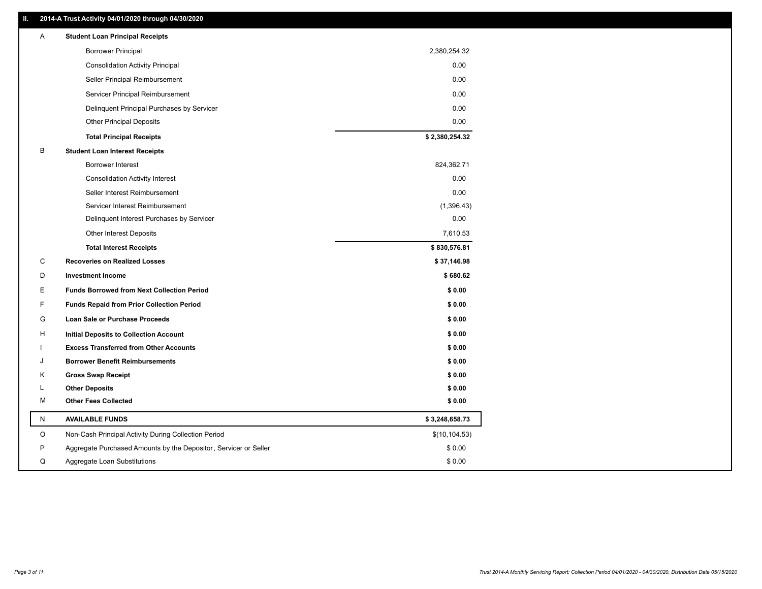### **II. 2014-A Trust Activity 04/01/2020 through 04/30/2020**

| A | <b>Student Loan Principal Receipts</b>                           |                |
|---|------------------------------------------------------------------|----------------|
|   | <b>Borrower Principal</b>                                        | 2,380,254.32   |
|   | <b>Consolidation Activity Principal</b>                          | 0.00           |
|   | Seller Principal Reimbursement                                   | 0.00           |
|   | Servicer Principal Reimbursement                                 | 0.00           |
|   | Delinquent Principal Purchases by Servicer                       | 0.00           |
|   | <b>Other Principal Deposits</b>                                  | 0.00           |
|   | <b>Total Principal Receipts</b>                                  | \$2,380,254.32 |
| В | <b>Student Loan Interest Receipts</b>                            |                |
|   | <b>Borrower Interest</b>                                         | 824,362.71     |
|   | <b>Consolidation Activity Interest</b>                           | 0.00           |
|   | Seller Interest Reimbursement                                    | 0.00           |
|   | Servicer Interest Reimbursement                                  | (1,396.43)     |
|   | Delinquent Interest Purchases by Servicer                        | 0.00           |
|   | <b>Other Interest Deposits</b>                                   | 7,610.53       |
|   | <b>Total Interest Receipts</b>                                   | \$830,576.81   |
| C | <b>Recoveries on Realized Losses</b>                             | \$37,146.98    |
| D | <b>Investment Income</b>                                         | \$680.62       |
| Е | <b>Funds Borrowed from Next Collection Period</b>                | \$0.00         |
| F | <b>Funds Repaid from Prior Collection Period</b>                 | \$0.00         |
| G | Loan Sale or Purchase Proceeds                                   | \$0.00         |
| H | Initial Deposits to Collection Account                           | \$0.00         |
|   | <b>Excess Transferred from Other Accounts</b>                    | \$0.00         |
| J | <b>Borrower Benefit Reimbursements</b>                           | \$0.00         |
| Κ | <b>Gross Swap Receipt</b>                                        | \$0.00         |
| L | <b>Other Deposits</b>                                            | \$0.00         |
| M | <b>Other Fees Collected</b>                                      | \$0.00         |
| N | <b>AVAILABLE FUNDS</b>                                           | \$3,248,658.73 |
| O | Non-Cash Principal Activity During Collection Period             | \$(10, 104.53) |
| P | Aggregate Purchased Amounts by the Depositor, Servicer or Seller | \$0.00         |
| Q | Aggregate Loan Substitutions                                     | \$0.00         |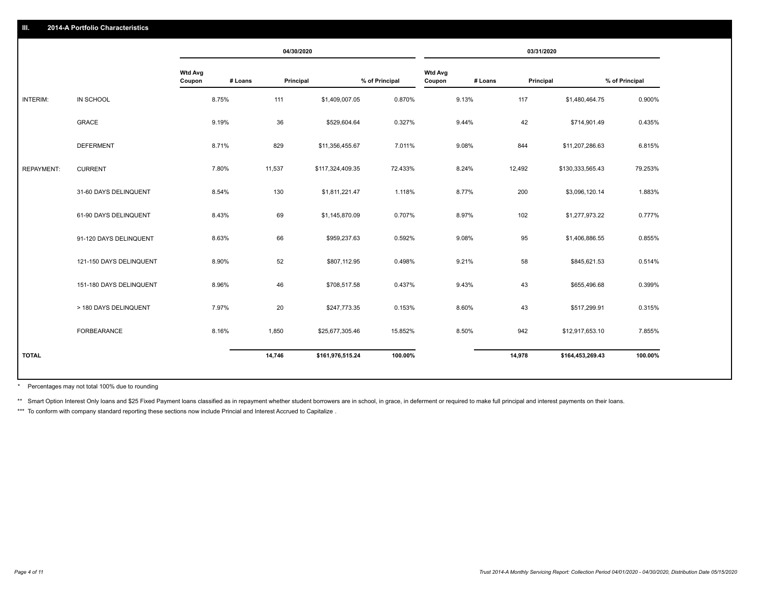|                   |                         |                          |         | 04/30/2020 |                  |                | 03/31/2020               |         |           |                  |                |
|-------------------|-------------------------|--------------------------|---------|------------|------------------|----------------|--------------------------|---------|-----------|------------------|----------------|
|                   |                         | <b>Wtd Avg</b><br>Coupon | # Loans | Principal  |                  | % of Principal | <b>Wtd Avg</b><br>Coupon | # Loans | Principal |                  | % of Principal |
| <b>INTERIM:</b>   | IN SCHOOL               |                          | 8.75%   | 111        | \$1,409,007.05   | 0.870%         |                          | 9.13%   | 117       | \$1,480,464.75   | 0.900%         |
|                   | <b>GRACE</b>            |                          | 9.19%   | 36         | \$529,604.64     | 0.327%         |                          | 9.44%   | 42        | \$714,901.49     | 0.435%         |
|                   | <b>DEFERMENT</b>        |                          | 8.71%   | 829        | \$11,356,455.67  | 7.011%         |                          | 9.08%   | 844       | \$11,207,286.63  | 6.815%         |
| <b>REPAYMENT:</b> | <b>CURRENT</b>          |                          | 7.80%   | 11,537     | \$117,324,409.35 | 72.433%        |                          | 8.24%   | 12,492    | \$130,333,565.43 | 79.253%        |
|                   | 31-60 DAYS DELINQUENT   |                          | 8.54%   | 130        | \$1,811,221.47   | 1.118%         |                          | 8.77%   | 200       | \$3,096,120.14   | 1.883%         |
|                   | 61-90 DAYS DELINQUENT   |                          | 8.43%   | 69         | \$1,145,870.09   | 0.707%         |                          | 8.97%   | 102       | \$1,277,973.22   | 0.777%         |
|                   | 91-120 DAYS DELINQUENT  |                          | 8.63%   | 66         | \$959,237.63     | 0.592%         |                          | 9.08%   | 95        | \$1,406,886.55   | 0.855%         |
|                   | 121-150 DAYS DELINQUENT |                          | 8.90%   | 52         | \$807,112.95     | 0.498%         |                          | 9.21%   | 58        | \$845,621.53     | 0.514%         |
|                   | 151-180 DAYS DELINQUENT |                          | 8.96%   | 46         | \$708,517.58     | 0.437%         |                          | 9.43%   | 43        | \$655,496.68     | 0.399%         |
|                   | > 180 DAYS DELINQUENT   |                          | 7.97%   | 20         | \$247,773.35     | 0.153%         |                          | 8.60%   | 43        | \$517,299.91     | 0.315%         |
|                   | FORBEARANCE             |                          | 8.16%   | 1,850      | \$25,677,305.46  | 15.852%        |                          | 8.50%   | 942       | \$12,917,653.10  | 7.855%         |
| <b>TOTAL</b>      |                         |                          |         | 14,746     | \$161,976,515.24 | 100.00%        |                          |         | 14,978    | \$164,453,269.43 | 100.00%        |
|                   |                         |                          |         |            |                  |                |                          |         |           |                  |                |

Percentages may not total 100% due to rounding \*

\*\* Smart Option Interest Only loans and \$25 Fixed Payment loans classified as in repayment whether student borrowers are in school, in grace, in deferment or required to make full principal and interest payments on their l

\*\*\* To conform with company standard reporting these sections now include Princial and Interest Accrued to Capitalize.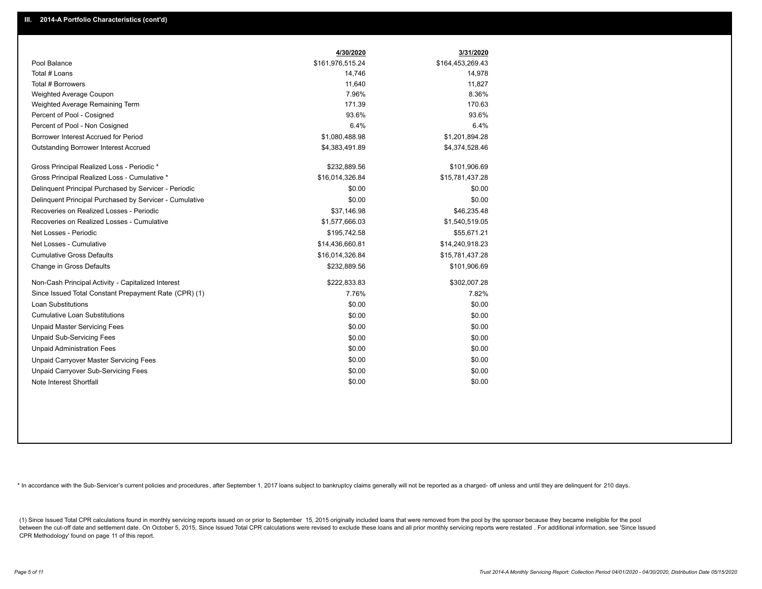|                                                         | 4/30/2020        | 3/31/2020        |
|---------------------------------------------------------|------------------|------------------|
| Pool Balance                                            | \$161,976,515.24 | \$164,453,269.43 |
| Total # Loans                                           | 14,746           | 14,978           |
| Total # Borrowers                                       | 11,640           | 11,827           |
| Weighted Average Coupon                                 | 7.96%            | 8.36%            |
| Weighted Average Remaining Term                         | 171.39           | 170.63           |
| Percent of Pool - Cosigned                              | 93.6%            | 93.6%            |
| Percent of Pool - Non Cosigned                          | 6.4%             | 6.4%             |
| Borrower Interest Accrued for Period                    | \$1,080,488.98   | \$1,201,894.28   |
| Outstanding Borrower Interest Accrued                   | \$4,383,491.89   | \$4,374,528.46   |
| Gross Principal Realized Loss - Periodic *              | \$232,889.56     | \$101,906.69     |
| Gross Principal Realized Loss - Cumulative *            | \$16,014,326.84  | \$15,781,437.28  |
| Delinquent Principal Purchased by Servicer - Periodic   | \$0.00           | \$0.00           |
| Delinguent Principal Purchased by Servicer - Cumulative | \$0.00           | \$0.00           |
| Recoveries on Realized Losses - Periodic                | \$37,146.98      | \$46,235.48      |
| Recoveries on Realized Losses - Cumulative              | \$1,577,666.03   | \$1,540,519.05   |
| Net Losses - Periodic                                   | \$195,742.58     | \$55,671.21      |
| Net Losses - Cumulative                                 | \$14,436,660.81  | \$14,240,918.23  |
| <b>Cumulative Gross Defaults</b>                        | \$16,014,326.84  | \$15,781,437.28  |
| Change in Gross Defaults                                | \$232,889.56     | \$101,906.69     |
| Non-Cash Principal Activity - Capitalized Interest      | \$222,833.83     | \$302,007.28     |
| Since Issued Total Constant Prepayment Rate (CPR) (1)   | 7.76%            | 7.82%            |
| Loan Substitutions                                      | \$0.00           | \$0.00           |
| <b>Cumulative Loan Substitutions</b>                    | \$0.00           | \$0.00           |
| <b>Unpaid Master Servicing Fees</b>                     | \$0.00           | \$0.00           |
| <b>Unpaid Sub-Servicing Fees</b>                        | \$0.00           | \$0.00           |
| <b>Unpaid Administration Fees</b>                       | \$0.00           | \$0.00           |
| Unpaid Carryover Master Servicing Fees                  | \$0.00           | \$0.00           |
| Unpaid Carryover Sub-Servicing Fees                     | \$0.00           | \$0.00           |
| Note Interest Shortfall                                 | \$0.00           | \$0.00           |

\* In accordance with the Sub-Servicer's current policies and procedures, after September 1, 2017 loans subject to bankruptcy claims generally will not be reported as a charged- off unless and until they are delinquent for

(1) Since Issued Total CPR calculations found in monthly servicing reports issued on or prior to September 15, 2015 originally included loans that were removed from the pool by the sponsor because they became ineligible fo between the cut-off date and settlement date. On October 5, 2015, Since Issued Total CPR calculations were revised to exclude these loans and all prior monthly servicing reports were restated. For additional information, s CPR Methodology' found on page 11 of this report.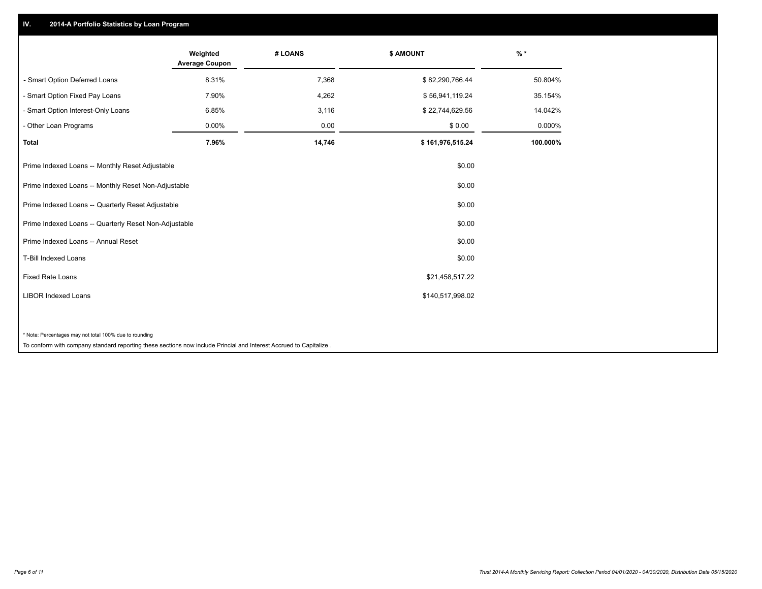## **IV. 2014-A Portfolio Statistics by Loan Program**

|                                                        | Weighted<br><b>Average Coupon</b> | # LOANS | <b>\$ AMOUNT</b> | $%$ *    |
|--------------------------------------------------------|-----------------------------------|---------|------------------|----------|
| - Smart Option Deferred Loans                          | 8.31%                             | 7,368   | \$82,290,766.44  | 50.804%  |
| - Smart Option Fixed Pay Loans                         | 7.90%                             | 4,262   | \$56,941,119.24  | 35.154%  |
| - Smart Option Interest-Only Loans                     | 6.85%                             | 3,116   | \$22,744,629.56  | 14.042%  |
| - Other Loan Programs                                  | 0.00%                             | 0.00    | \$0.00           | 0.000%   |
| <b>Total</b>                                           | 7.96%                             | 14,746  | \$161,976,515.24 | 100.000% |
| Prime Indexed Loans -- Monthly Reset Adjustable        |                                   |         | \$0.00           |          |
| Prime Indexed Loans -- Monthly Reset Non-Adjustable    |                                   |         | \$0.00           |          |
| Prime Indexed Loans -- Quarterly Reset Adjustable      |                                   |         | \$0.00           |          |
| Prime Indexed Loans -- Quarterly Reset Non-Adjustable  |                                   |         | \$0.00           |          |
| Prime Indexed Loans -- Annual Reset                    |                                   |         | \$0.00           |          |
| <b>T-Bill Indexed Loans</b>                            |                                   |         | \$0.00           |          |
| Fixed Rate Loans<br>\$21,458,517.22                    |                                   |         |                  |          |
| <b>LIBOR Indexed Loans</b>                             |                                   |         | \$140,517,998.02 |          |
|                                                        |                                   |         |                  |          |
| * Note: Percentages may not total 100% due to rounding |                                   |         |                  |          |

To conform with company standard reporting these sections now include Princial and Interest Accrued to Capitalize .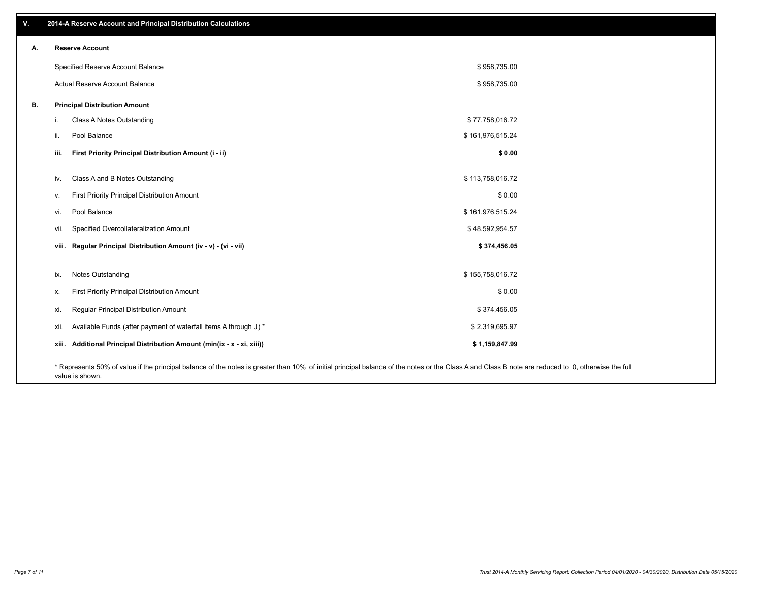| V. | 2014-A Reserve Account and Principal Distribution Calculations                                                                                                                                     |                  |  |
|----|----------------------------------------------------------------------------------------------------------------------------------------------------------------------------------------------------|------------------|--|
| А. | <b>Reserve Account</b>                                                                                                                                                                             |                  |  |
|    | Specified Reserve Account Balance                                                                                                                                                                  | \$958,735.00     |  |
|    | Actual Reserve Account Balance                                                                                                                                                                     | \$958,735.00     |  |
| В. | <b>Principal Distribution Amount</b>                                                                                                                                                               |                  |  |
|    | Class A Notes Outstanding<br>i.                                                                                                                                                                    | \$77,758,016.72  |  |
|    | Pool Balance<br>ii.                                                                                                                                                                                | \$161,976,515.24 |  |
|    | First Priority Principal Distribution Amount (i - ii)<br>iii.                                                                                                                                      | \$0.00           |  |
|    | Class A and B Notes Outstanding<br>iv.                                                                                                                                                             | \$113,758,016.72 |  |
|    | First Priority Principal Distribution Amount<br>V.                                                                                                                                                 | \$0.00           |  |
|    | Pool Balance<br>vi.                                                                                                                                                                                | \$161,976,515.24 |  |
|    | Specified Overcollateralization Amount<br>vii.                                                                                                                                                     | \$48,592,954.57  |  |
|    | viii. Regular Principal Distribution Amount (iv - v) - (vi - vii)                                                                                                                                  | \$374,456.05     |  |
|    | Notes Outstanding<br>ix.                                                                                                                                                                           | \$155,758,016.72 |  |
|    | First Priority Principal Distribution Amount<br>Х.                                                                                                                                                 | \$0.00           |  |
|    | Regular Principal Distribution Amount<br>xi.                                                                                                                                                       | \$374,456.05     |  |
|    | Available Funds (after payment of waterfall items A through J) *<br>xii.                                                                                                                           | \$2,319,695.97   |  |
|    | xiii. Additional Principal Distribution Amount (min(ix - x - xi, xiii))                                                                                                                            | \$1,159,847.99   |  |
|    | * Represents 50% of value if the principal balance of the notes is greater than 10% of initial principal balance of the notes or the Class A and Class B note are reduced to 0, otherwise the full |                  |  |

value is shown.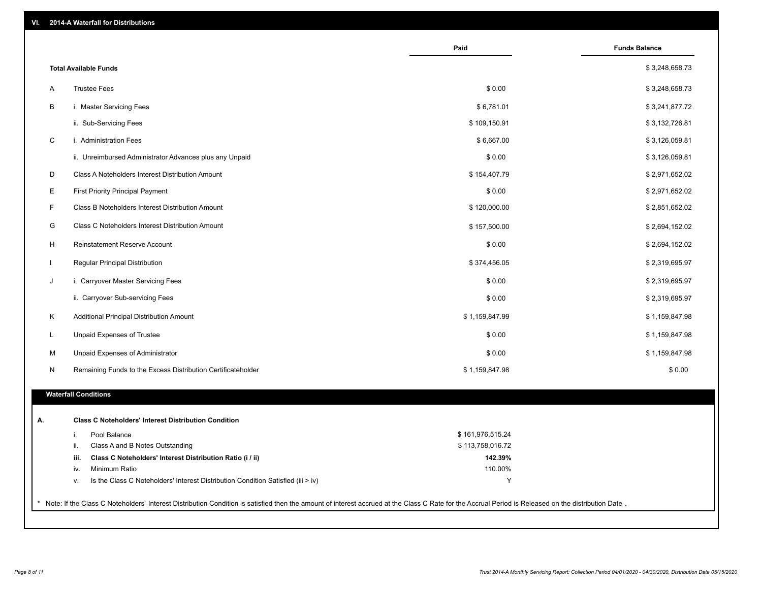|                                                                                        | Paid             | <b>Funds Balance</b> |
|----------------------------------------------------------------------------------------|------------------|----------------------|
| <b>Total Available Funds</b>                                                           |                  | \$3,248,658.73       |
| <b>Trustee Fees</b><br>Α                                                               | \$0.00           | \$3,248,658.73       |
| В<br>i. Master Servicing Fees                                                          | \$6,781.01       | \$3,241,877.72       |
| ii. Sub-Servicing Fees                                                                 | \$109,150.91     | \$3,132,726.81       |
| $\mathsf C$<br>i. Administration Fees                                                  | \$6,667.00       | \$3,126,059.81       |
| ii. Unreimbursed Administrator Advances plus any Unpaid                                | \$0.00           | \$3,126,059.81       |
| D<br>Class A Noteholders Interest Distribution Amount                                  | \$154,407.79     | \$2,971,652.02       |
| Е<br><b>First Priority Principal Payment</b>                                           | \$0.00           | \$2,971,652.02       |
| F<br>Class B Noteholders Interest Distribution Amount                                  | \$120,000.00     | \$2,851,652.02       |
| G<br>Class C Noteholders Interest Distribution Amount                                  | \$157,500.00     | \$2,694,152.02       |
| H<br>Reinstatement Reserve Account                                                     | \$0.00           | \$2,694,152.02       |
| Regular Principal Distribution<br>T.                                                   | \$374,456.05     | \$2,319,695.97       |
| i. Carryover Master Servicing Fees<br>J                                                | \$0.00           | \$2,319,695.97       |
| ii. Carryover Sub-servicing Fees                                                       | \$0.00           | \$2,319,695.97       |
| Κ<br>Additional Principal Distribution Amount                                          | \$1,159,847.99   | \$1,159,847.98       |
| L<br>Unpaid Expenses of Trustee                                                        | \$0.00           | \$1,159,847.98       |
| M<br>Unpaid Expenses of Administrator                                                  | \$0.00           | \$1,159,847.98       |
| N<br>Remaining Funds to the Excess Distribution Certificateholder                      | \$1,159,847.98   | \$0.00               |
|                                                                                        |                  |                      |
| <b>Waterfall Conditions</b>                                                            |                  |                      |
| <b>Class C Noteholders' Interest Distribution Condition</b>                            |                  |                      |
| Pool Balance<br>i.                                                                     | \$161,976,515.24 |                      |
| ii.<br>Class A and B Notes Outstanding                                                 | \$113,758,016.72 |                      |
| iii.<br>Class C Noteholders' Interest Distribution Ratio (i / ii)                      | 142.39%          |                      |
| Minimum Ratio<br>iv.                                                                   | 110.00%          |                      |
| Is the Class C Noteholders' Interest Distribution Condition Satisfied (iii > iv)<br>٧. | Υ                |                      |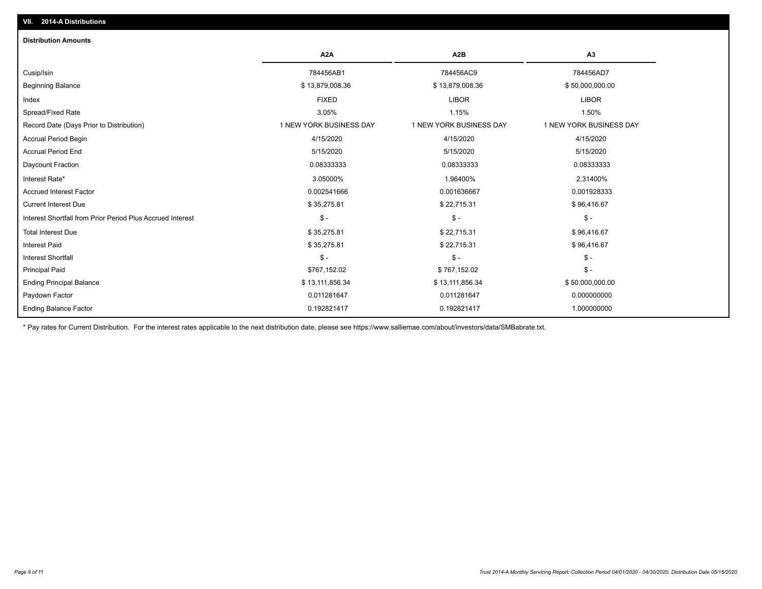| <b>Distribution Amounts</b>                                |                         |                         |                         |
|------------------------------------------------------------|-------------------------|-------------------------|-------------------------|
|                                                            | A <sub>2</sub> A        | A <sub>2</sub> B        | A <sub>3</sub>          |
| Cusip/Isin                                                 | 784456AB1               | 784456AC9               | 784456AD7               |
| <b>Beginning Balance</b>                                   | \$13,879,008.36         | \$13,879,008.36         | \$50,000,000.00         |
| Index                                                      | <b>FIXED</b>            | <b>LIBOR</b>            | <b>LIBOR</b>            |
| Spread/Fixed Rate                                          | 3.05%                   | 1.15%                   | 1.50%                   |
| Record Date (Days Prior to Distribution)                   | 1 NEW YORK BUSINESS DAY | 1 NEW YORK BUSINESS DAY | 1 NEW YORK BUSINESS DAY |
| <b>Accrual Period Begin</b>                                | 4/15/2020               | 4/15/2020               | 4/15/2020               |
| <b>Accrual Period End</b>                                  | 5/15/2020               | 5/15/2020               | 5/15/2020               |
| Daycount Fraction                                          | 0.08333333              | 0.08333333              | 0.08333333              |
| Interest Rate*                                             | 3.05000%                | 1.96400%                | 2.31400%                |
| <b>Accrued Interest Factor</b>                             | 0.002541666             | 0.001636667             | 0.001928333             |
| <b>Current Interest Due</b>                                | \$35,275.81             | \$22,715.31             | \$96,416.67             |
| Interest Shortfall from Prior Period Plus Accrued Interest | $\mathcal{S}$ -         | $$ -$                   | $\mathsf{\$}$ -         |
| <b>Total Interest Due</b>                                  | \$35,275.81             | \$22,715.31             | \$96,416.67             |
| <b>Interest Paid</b>                                       | \$35,275.81             | \$22,715.31             | \$96,416.67             |
| Interest Shortfall                                         | $\frac{1}{2}$           | $$ -$                   | $\mathsf{\$}$ -         |
| <b>Principal Paid</b>                                      | \$767,152.02            | \$767,152.02            | $\mathsf{\$}$ -         |
| <b>Ending Principal Balance</b>                            | \$13,111,856.34         | \$13,111,856.34         | \$50,000,000.00         |
| Paydown Factor                                             | 0.011281647             | 0.011281647             | 0.000000000             |
| <b>Ending Balance Factor</b>                               | 0.192821417             | 0.192821417             | 1.000000000             |

\* Pay rates for Current Distribution. For the interest rates applicable to the next distribution date, please see https://www.salliemae.com/about/investors/data/SMBabrate.txt.

**VII. 2014-A Distributions**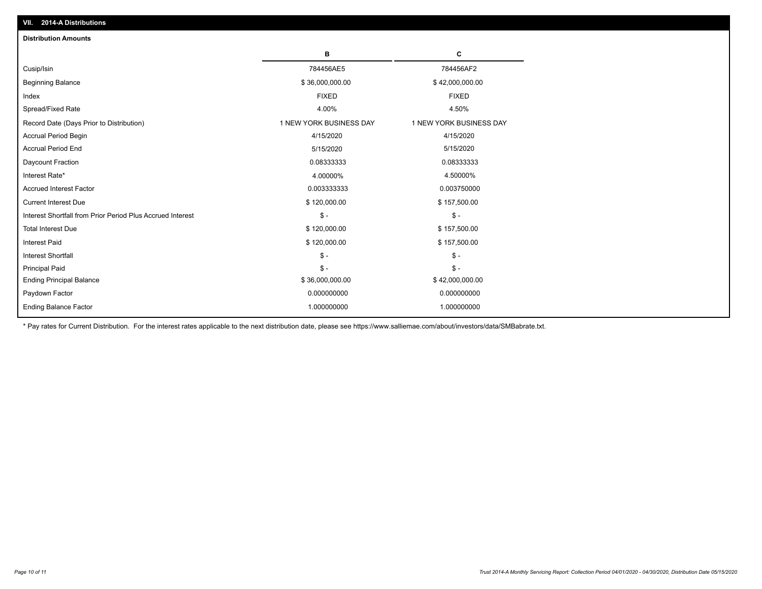| <b>Distribution Amounts</b>                                |                         |                         |
|------------------------------------------------------------|-------------------------|-------------------------|
|                                                            | в                       | C                       |
| Cusip/Isin                                                 | 784456AE5               | 784456AF2               |
| <b>Beginning Balance</b>                                   | \$36,000,000.00         | \$42,000,000.00         |
| Index                                                      | <b>FIXED</b>            | <b>FIXED</b>            |
| Spread/Fixed Rate                                          | 4.00%                   | 4.50%                   |
| Record Date (Days Prior to Distribution)                   | 1 NEW YORK BUSINESS DAY | 1 NEW YORK BUSINESS DAY |
| Accrual Period Begin                                       | 4/15/2020               | 4/15/2020               |
| <b>Accrual Period End</b>                                  | 5/15/2020               | 5/15/2020               |
| Daycount Fraction                                          | 0.08333333              | 0.08333333              |
| Interest Rate*                                             | 4.00000%                | 4.50000%                |
| <b>Accrued Interest Factor</b>                             | 0.003333333             | 0.003750000             |
| <b>Current Interest Due</b>                                | \$120,000.00            | \$157,500.00            |
| Interest Shortfall from Prior Period Plus Accrued Interest | $\mathsf{\$}$ -         | $\mathsf{\$}$ -         |
| <b>Total Interest Due</b>                                  | \$120,000.00            | \$157,500.00            |
| <b>Interest Paid</b>                                       | \$120,000.00            | \$157,500.00            |
| <b>Interest Shortfall</b>                                  | $\mathsf{\$}$ -         | $\frac{1}{2}$           |
| <b>Principal Paid</b>                                      | $\mathsf{\$}$ -         | $$ -$                   |
| <b>Ending Principal Balance</b>                            | \$36,000,000.00         | \$42,000,000.00         |
| Paydown Factor                                             | 0.000000000             | 0.000000000             |
| <b>Ending Balance Factor</b>                               | 1.000000000             | 1.000000000             |

\* Pay rates for Current Distribution. For the interest rates applicable to the next distribution date, please see https://www.salliemae.com/about/investors/data/SMBabrate.txt.

**VII. 2014-A Distributions**